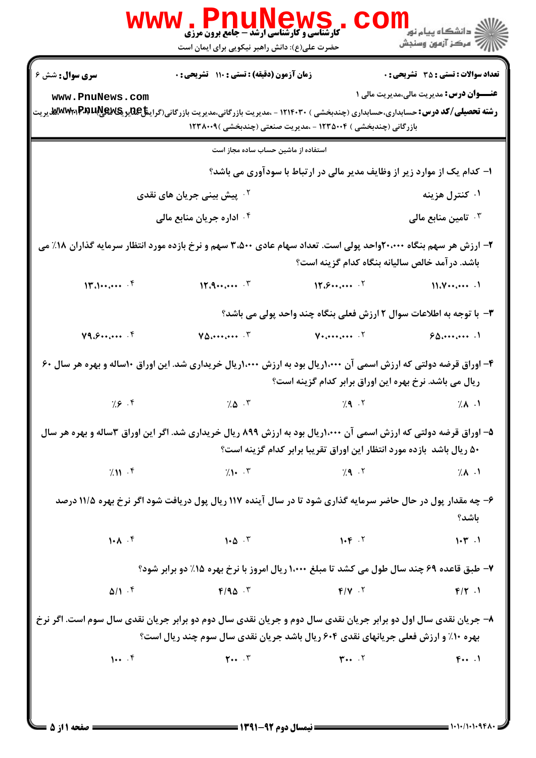|                        | www.PnuNews<br><b>کارشناسی و کارشناسی ارشد - جامع برون مرزی</b><br>حضرت علی(ع): دانش راهبر نیکویی برای ایمان است                                                                                                                                                                                                                                               |                                                                       |                                                                          |
|------------------------|----------------------------------------------------------------------------------------------------------------------------------------------------------------------------------------------------------------------------------------------------------------------------------------------------------------------------------------------------------------|-----------------------------------------------------------------------|--------------------------------------------------------------------------|
| <b>سری سوال :</b> شش ۶ | زمان آزمون (دقیقه) : تستی : ۱۱۰ تشریحی : ۰                                                                                                                                                                                                                                                                                                                     |                                                                       | <b>تعداد سوالات : تستی : 35 - تشریحی : 0</b>                             |
| www.PnuNews.com        | <b>رشته تحصیلی/کد درس:</b> حسابداری،حسابداری (چندبخشی ) ۱۲۱۴۰۳۰ - ،مدیریت بازرگانی،مدیریت بازرگانی(گرای <b>نتاچیدیکیپیاپیسی</b><br>استه ت <b>حصیلی/کد درس:</b> حسابداری،حسابداری (چندبخشی ) ۱۲۱۴۰۳۰ - ،مدیریت بازرگانی،مدیریت بازرگانی(گیلیهایی ب<br>بازرگانی (چندبخشی ) ۱۲۳۵۰۰۴ - ،مدیریت صنعتی (چندبخشی )۱۲۳۸۰۰۹                                             |                                                                       | <b>عنـــوان درس:</b> مدیریت مالی،مدیریت مالی ۱                           |
|                        | استفاده از ماشین حساب ساده مجاز است                                                                                                                                                                                                                                                                                                                            |                                                                       |                                                                          |
|                        |                                                                                                                                                                                                                                                                                                                                                                |                                                                       | ا- کدام یک از موارد زیر از وظایف مدیر مالی در ارتباط با سودآوری می باشد؟ |
|                        | <sup>۲</sup> ۰ پیش بینی جریان های نقدی                                                                                                                                                                                                                                                                                                                         |                                                                       | ۰۱ کنترل هزینه                                                           |
|                        | ۰۴ اداره جریان منابع مالی                                                                                                                                                                                                                                                                                                                                      |                                                                       | تامین منابع مالی $\cdot^{\mathsf{\texttt{v}}}$                           |
|                        | ۲- ارزش هر سهم بنگاه ۲۰،۰۰۰واحد پولی است. تعداد سهام عادی ۳،۵۰۰ سهم و نرخ بازده مورد انتظار سرمایه گذاران ۱۸٪ می                                                                                                                                                                                                                                               | باشد. در آمد خالص سالیانه بنگاه کدام گزینه است؟                       |                                                                          |
| 14.1                   | 11.9                                                                                                                                                                                                                                                                                                                                                           | 17.9                                                                  | $11.8 \cdots$                                                            |
|                        |                                                                                                                                                                                                                                                                                                                                                                |                                                                       | ۳- با توجه به اطلاعات سوال ۲ ارزش فعلی بنگاه چند واحد پولی می باشد؟      |
| Y9.5                   | $V\Delta_{i}$ $V$                                                                                                                                                                                                                                                                                                                                              | $V_1 \cdots \cdots \cdots$                                            | 90.444                                                                   |
|                        | ۴- اوراق قرضه دولتی که ارزش اسمی آن ۱،۰۰۰ریال بود به ارزش ۱،۰۰۰ریال خریداری شد. این اوراق ۱۰ساله و بهره هر سال ۶۰                                                                                                                                                                                                                                              | ریال می باشد. نرخ بهره این اوراق برابر کدام گزینه است؟                |                                                                          |
| 7.8.9                  | $7.0 \cdot 7$                                                                                                                                                                                                                                                                                                                                                  | 7.9.7                                                                 | $\lambda$ $\lambda$ $\lambda$                                            |
|                        | ۵- اوراق قرضه دولتی که ارزش اسمی آن ۱٬۰۰۰ریال بود به ارزش ۸۹۹ ریال خریداری شد. اگر این اوراق ۳ساله و بهره هر سال                                                                                                                                                                                                                                               | ۵۰ ریال باشد بازده مورد انتظار این اوراق تقریبا برابر کدام گزینه است؟ |                                                                          |
| $7.11 \cdot$ ۴         |                                                                                                                                                                                                                                                                                                                                                                | $(1 - \frac{1}{2})$                                                   | 7.1                                                                      |
|                        | ۶- چه مقدار پول در حال حاضر سرمایه گذاری شود تا در سال آینده ۱۱۷ ریال پول دریافت شود اگر نرخ بهره ۱۱/۵ درصد                                                                                                                                                                                                                                                    |                                                                       | باشد؟                                                                    |
| $1 - A \cdot f$        | $1 - \Delta$ $\cdot$ $\cdot$ $\cdot$ $\cdot$                                                                                                                                                                                                                                                                                                                   | $1 - F \cdot T$                                                       | 1.77.1                                                                   |
|                        | ۷- طبق قاعده ۶۹ چند سال طول می کشد تا مبلغ ۱،۰۰۰ ریال امروز با نرخ بهره ۱۵٪ دو برابر شود؟                                                                                                                                                                                                                                                                      |                                                                       |                                                                          |
|                        | $\Delta/\Gamma$ . From $\Gamma$ , $\Gamma$ , $\Gamma$ , $\Gamma$ , $\Gamma$ , $\Gamma$ , $\Gamma$ , $\Gamma$ , $\Gamma$ , $\Gamma$ , $\Gamma$ , $\Gamma$ , $\Gamma$ , $\Gamma$ , $\Gamma$ , $\Gamma$ , $\Gamma$ , $\Gamma$ , $\Gamma$ , $\Gamma$ , $\Gamma$ , $\Gamma$ , $\Gamma$ , $\Gamma$ , $\Gamma$ , $\Gamma$ , $\Gamma$ , $\Gamma$ , $\Gamma$ , $\Gamma$ |                                                                       |                                                                          |
|                        | ۸- جریان نقدی سال اول دو برابر جریان نقدی سال دوم و جریان نقدی سال دوم دو برابر جریان نقدی سال سوم است. اگر نرخ<br>بهره ۱۰٪ و ارزش فعلی جریانهای نقدی ۶۰۴ ریال باشد جریان نقدی سال سوم چند ریال است؟                                                                                                                                                           |                                                                       |                                                                          |
|                        | $1.4.7$ $1.7$ $1.7$ $1.7$ $1.7$ $1.7$ $1.7$ $1.7$                                                                                                                                                                                                                                                                                                              |                                                                       |                                                                          |
| = صفحه ۱ از 5          | ــــــــــــــ نیمسال دوم 92-1391 ـــــــــ                                                                                                                                                                                                                                                                                                                    |                                                                       |                                                                          |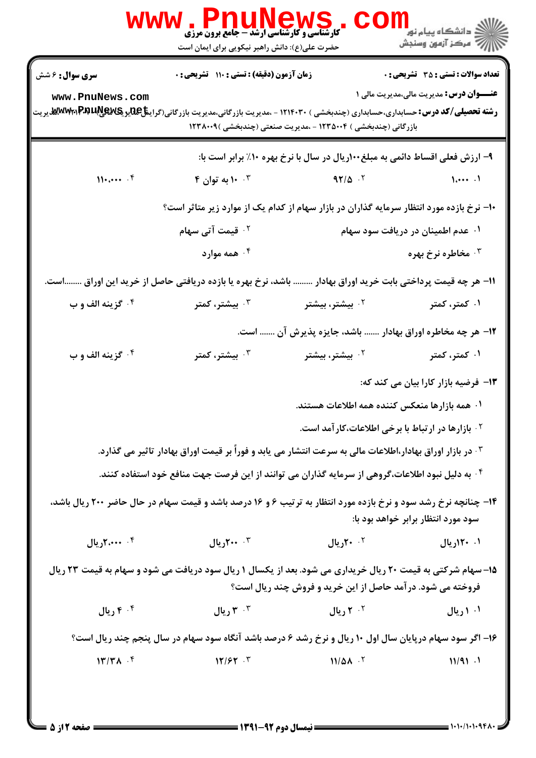|                               | حضرت علی(ع): دانش راهبر نیکویی برای ایمان است |                                                                                                                                                                                                      | رانشگاه پيام نور دا<br>ا <mark>ر</mark> ≫ مرکز آزمون وسنجش |
|-------------------------------|-----------------------------------------------|------------------------------------------------------------------------------------------------------------------------------------------------------------------------------------------------------|------------------------------------------------------------|
| <b>سری سوال :</b> ۶ شش        | زمان آزمون (دقیقه) : تستی : ۱۱۰٪ تشریحی : ۰   |                                                                                                                                                                                                      | <b>تعداد سوالات : تستی : 35 - تشریحی : 0</b>               |
| www.PnuNews.com               |                                               | <b>رشته تحصیلی/کد درس:</b> حسابداری،حسابداری (چندبخشی ) ۱۲۱۴۰۳۰ - ،مدیریت بازرگانی،مدیریت بازرگانی(گرای <b>نتاچیدیکیپیپیچی</b><br>ا<br>بازرگانی (چندبخشی ) ۱۲۳۵۰۰۴ - ،مدیریت صنعتی (چندبخشی )۱۲۳۸۰۰۹ | <b>عنـــوان درس:</b> مدیریت مالی،مدیریت مالی ۱             |
|                               |                                               | ۹- ارزش فعلی اقساط دائمی به مبلغ۱۰۰ریال در سال با نرخ بهره ۱۰٪ برابر است با:                                                                                                                         |                                                            |
| $H_{\text{tot}}$ . $\uparrow$ | ۴ . ۱۰ به توان ۴                              | $97/\Delta$ .                                                                                                                                                                                        | $\lambda$                                                  |
|                               |                                               | +ا– نرخ بازده مورد انتظار سرمایه گذاران در بازار سهام از کدام یک از موارد زیر متاثر است؟                                                                                                             |                                                            |
|                               | <sup>۲ .</sup> قیمت آتی سهام                  |                                                                                                                                                                                                      | ۰۱ عدم اطمینان در دریافت سود سهام                          |
|                               | ۰۴ همه موارد                                  |                                                                                                                                                                                                      | ۰۳ مخاطره نرخ بهره                                         |
|                               |                                               | 11– هر چه قیمت پرداختی بابت خرید اوراق بهادار  باشد، نرخ بهره یا بازده دریافتی حاصل از خرید این اوراق است.                                                                                           |                                                            |
| ۰۴ گزينه الف و ب              | بیشتر، کمتر $\cdot^{\mathsf{v}}$              | ۰ <sup>۲</sup> بیشتر، بیشتر                                                                                                                                                                          | ۰۱ کمتر، کمتر                                              |
|                               |                                               | ۱۲- هر چه مخاطره اوراق بهادار  باشد، جایزه پذیرش آن  است.                                                                                                                                            |                                                            |
| ۰۴ گزینه الف و ب              | بیشتر، کمتر $\cdot^{\mathsf{v}}$              | ۰ <sup>۲</sup> بیشتر، بیشتر                                                                                                                                                                          | ۰۱ کمتر، کمتر                                              |
|                               |                                               |                                                                                                                                                                                                      | ۱۳- فرضیه بازار کارا بیان می کند که:                       |
|                               |                                               | ۰۱ همه بازارها منعکس کننده همه اطلاعات هستند.                                                                                                                                                        |                                                            |
|                               |                                               | <sup>۲</sup> . بازارها در ارتباط با برخی اطلاعات،کارآمد است.                                                                                                                                         |                                                            |
|                               |                                               | ۰ <sup>۳</sup> در بازار اوراق بهادار،اطلاعات مالی به سرعت انتشار می یابد و فوراً بر قیمت اوراق بهادار تاثیر می گذارد.                                                                                |                                                            |
|                               |                                               | ۰ <sup>۴</sup> به دلیل نبود اطلاعات،گروهی از سرمایه گذاران می توانند از این فرصت جهت منافع خود استفاده کنند.                                                                                         |                                                            |
|                               |                                               | ۱۴- چنانچه نرخ رشد سود و نرخ بازده مورد انتظار به ترتیب ۶ و ۱۶ درصد باشد و قیمت سهام در حال حاضر ۲۰۰ ریال باشد،                                                                                      | سود مورد انتظار برابر خواهد بود با:                        |
| ۰۴ مند ۲،۰۰۰ ريال             | ۰۰ ۲۰۰ ريال                                   | ۲۰ ۲۰ریال                                                                                                                                                                                            | ۰۱ ۱۲۰ریال                                                 |
|                               |                                               | ۱۵- سهام شرکتی به قیمت ۲۰ ریال خریداری می شود. بعد از یکسال ۱ ریال سود دریافت می شود و سهام به قیمت ۲۳ ریال<br>فروخته می شود. درآمد حاصل از این خرید و فروش چند ریال است؟                            |                                                            |
| ۰۴ ریال                       | ريال ۳ $\cdot$ ۳                              | ۲۰۲ ریال                                                                                                                                                                                             | ۰۱ ریال                                                    |
|                               |                                               | ۱۶- اگر سود سهام درپایان سال اول ۱۰ ریال و نرخ رشد ۶ درصد باشد آنگاه سود سهام در سال پنجم چند ریال است؟                                                                                              |                                                            |
| $17/TA$ .                     | $17/57$ .                                     | $11/\Delta\lambda$ .                                                                                                                                                                                 | 11/91.1                                                    |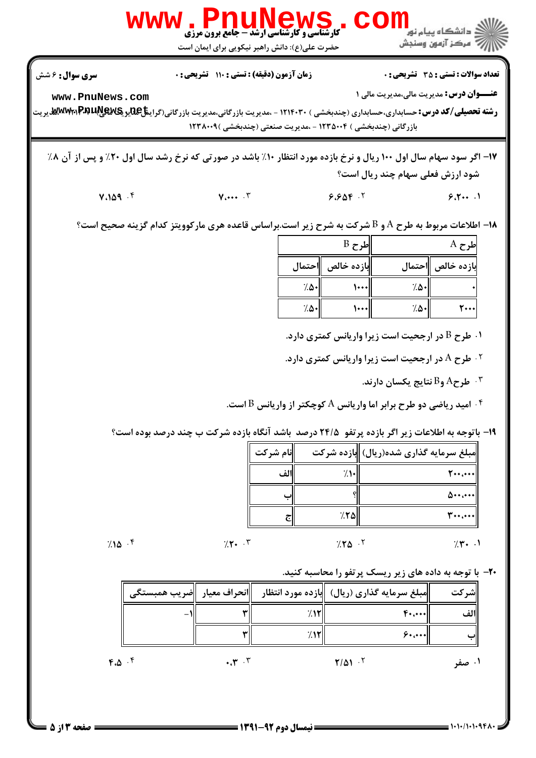

 $7/10$   $8/10$   $1/10$   $1/10$   $1/10$   $1/10$   $1/10$   $1/10$   $1/10$   $1/10$   $1/10$   $1/10$   $1/10$   $1/10$   $1/10$   $1/10$   $1/10$   $1/10$   $1/10$   $1/10$   $1/10$   $1/10$   $1/10$   $1/10$   $1/10$   $1/10$   $1/10$   $1/10$   $1/10$   $1/10$   $1/10$   $1/1$  $7.70$   $7.7$   $7.7$   $7.7$ . . . .

 $7.10 \cdot$   $7.7 \cdot \cdot$   $7.7 \cdot \cdot$ 

**۲۰**- با توجه به داده های زیر ریسک پرتفو را محاسبه کنید.

|               |                               |                                                                               |                | ┈                   |       |
|---------------|-------------------------------|-------------------------------------------------------------------------------|----------------|---------------------|-------|
|               |                               | مبلغ سرمایه گذاری (ریال)   بازده مورد انتظار     انحراف معیار    ضریب همبستگی |                |                     | شر کت |
|               |                               |                                                                               |                | $F \cdot A$         | لف    |
|               |                               | 7.۱۲                                                                          |                | $8 \cdot 1 \cdot 1$ |       |
| $4.0 \cdot 5$ | $\mathbf{r} \cdot \mathbf{r}$ |                                                                               | $7/\Delta 1.7$ |                     | ۰۱ صف |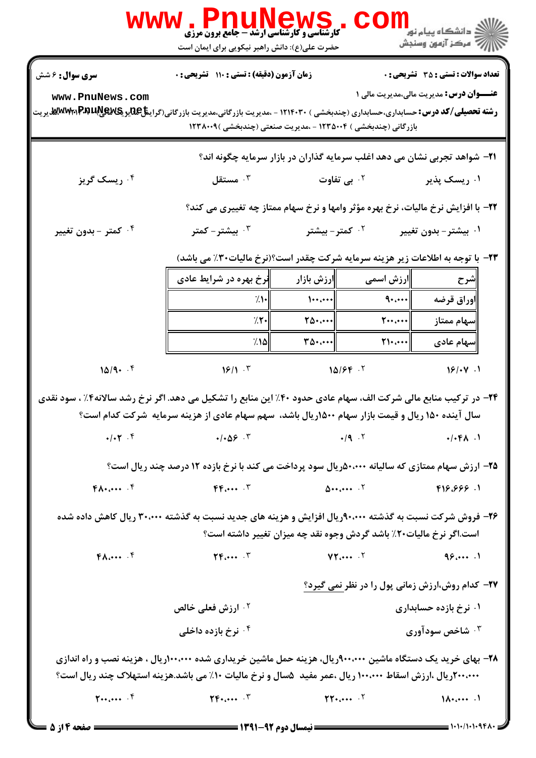|                                                                                                                                                                                                                          | <b>WWW.PNUNEWS</b><br><b>ً کارشناسی و کارشناسی ارشد- جامع برون مرزی</b><br>حضرت علی(ع): دانش راهبر نیکویی برای ایمان است                                                          |                                                   | COI                                                 | <mark>ڪ دانشڪاه پيام نور ■</mark><br>  <i>  &gt;</i> مرکز آزمون وسنجش |  |
|--------------------------------------------------------------------------------------------------------------------------------------------------------------------------------------------------------------------------|-----------------------------------------------------------------------------------------------------------------------------------------------------------------------------------|---------------------------------------------------|-----------------------------------------------------|-----------------------------------------------------------------------|--|
| <b>سری سوال :</b> ۶ شش                                                                                                                                                                                                   | زمان آزمون (دقیقه) : تستی : ۱۱۰ تشریحی : ۰                                                                                                                                        |                                                   |                                                     | <b>تعداد سوالات : تستی : 35 - تشریحی : 0</b>                          |  |
| www.PnuNews.com<br><b>رشته تحصیلی/کد درس:</b> حسابداری،حسابداری (چندبخشی ) ۱۲۱۴۰۳۰ - ،مدیریت بازرگانی،مدیریت بازرگانی(گراین <del>تا</del> £یدیگیهیالآباد)WWW،هدیریت                                                      | بازرگانی (چندبخشی ) ۱۲۳۵۰۰۴ - ،مدیریت صنعتی (چندبخشی )۱۲۳۸۰۰۹                                                                                                                     |                                                   |                                                     | <b>عنـــوان درس:</b> مدیریت مالی،مدیریت مالی ۱                        |  |
|                                                                                                                                                                                                                          | <b>۲۱</b> - شواهد تجربی نشان می دهد اغلب سرمایه گذاران در بازار سرمایه چگونه اند؟                                                                                                 |                                                   |                                                     |                                                                       |  |
| ۰۴ ریسک گریز                                                                                                                                                                                                             | مستقل $\cdot$ "                                                                                                                                                                   |                                                   | <sup>۰۲</sup> بی تفاوت                              | ۰۱ ریسک پذیر                                                          |  |
|                                                                                                                                                                                                                          | 22- با افزایش نرخ مالیات، نرخ بهره مؤثر وامها و نرخ سهام ممتاز چه تغییری می کند؟                                                                                                  |                                                   |                                                     |                                                                       |  |
| ۰ <sup>۴</sup> کمتر - بدون تغییر                                                                                                                                                                                         | بیشتر – کمتر $\cdot$ $^{\mathsf{v}}$                                                                                                                                              | ۰ <sup>۲</sup> کمتر - بیشتر                       |                                                     | ۰۱ بیشتر – بدون تغییر                                                 |  |
|                                                                                                                                                                                                                          | <b>۲۳</b> - با توجه به اطلاعات زیر هزینه سرمایه شرکت چقدر است؟(نرخ مالیات۳۰٪ می باشد)                                                                                             |                                                   |                                                     |                                                                       |  |
|                                                                                                                                                                                                                          | نرخ بهره در شرایط عادی                                                                                                                                                            | ∥رزش بازار                                        | ارزش اسمی                                           | ∥شرح                                                                  |  |
|                                                                                                                                                                                                                          | 7.1<br>7.7.                                                                                                                                                                       | $\left\  \cdots \right\ $<br>$T\Delta\cdot\cdots$ | 9<br>$\mathbf{y} \cdot \mathbf{y} \cdot \mathbf{y}$ | اوراق قرضه<br>  سهام ممتاز                                            |  |
|                                                                                                                                                                                                                          | ۸۵۱٪                                                                                                                                                                              | $\ \mathbf{r}\mathbf{r}\cdot\mathbf{r}\ $         | $\mathsf{N}\cdot\mathsf{C}\cdot\cdot\cdot$          | سهام عادی                                                             |  |
| 10/9.7                                                                                                                                                                                                                   | 18/1.7                                                                                                                                                                            | $10/5F$ .                                         |                                                     | 18/44.1                                                               |  |
| ۲۴- در ترکیب منابع مالی شرکت الف، سهام عادی حدود ۴۰٪ این منابع را تشکیل می دهد. اگر نرخ رشد سالانه۴٪ ، سود نقدی<br>سال آینده ۱۵۰ ریال و قیمت بازار سهام ۱۵۰۰ریال باشد، سهم سهام عادی از هزینه سرمایه ًشرکت کدام است؟     |                                                                                                                                                                                   |                                                   |                                                     |                                                                       |  |
|                                                                                                                                                                                                                          | $\bullet$ / $\bullet$ / $\bullet$ / $\bullet$ / $\bullet$ / $\bullet$ / $\bullet$ / $\bullet$ / $\bullet$ / $\bullet$ / $\bullet$ / $\bullet$ / $\bullet$ / $\bullet$ / $\bullet$ |                                                   |                                                     | $\cdot$ / $\cdot$ $f \wedge$ $\cdot$                                  |  |
|                                                                                                                                                                                                                          | ۲۵- ارزش سهام ممتازی که سالیانه ۵۰،۰۰۰(ویال سود پرداخت می کند با نرخ بازده ۱۲ درصد چند ریال است؟                                                                                  |                                                   |                                                     |                                                                       |  |
| $f \wedge \cdots$ $f$                                                                                                                                                                                                    | $FF_{i+1}$ .                                                                                                                                                                      |                                                   |                                                     | 1. ۶۶۶٬۶۶۶                                                            |  |
| ۲۶- فروش شرکت نسبت به گذشته ۹۰،۰۰۰ریال افزایش و هزینه های جدید نسبت به گذشته ۳۰،۰۰۰ ریال کاهش داده شده<br>است.اگر نرخ مالیات۲۰٪ باشد گردش وجوه نقد چه میزان تغییر داشته است؟                                             |                                                                                                                                                                                   |                                                   |                                                     |                                                                       |  |
| FA                                                                                                                                                                                                                       | $YF_{i} \cdots Y$                                                                                                                                                                 |                                                   | $VT_{i} \cdots$ . $\zeta$                           | 981                                                                   |  |
| ۲۷- کدام روش،ارزش زمانی پول را در نظر نمی گیرد؟                                                                                                                                                                          |                                                                                                                                                                                   |                                                   |                                                     |                                                                       |  |
|                                                                                                                                                                                                                          | ۰ <sup>۲</sup> ارزش فعلی خالص                                                                                                                                                     |                                                   |                                                     | ۰۱ نرخ بازده حسابداری                                                 |  |
|                                                                                                                                                                                                                          | ۰ <sup>۴</sup> نرخ بازده داخلی                                                                                                                                                    |                                                   |                                                     | شاخص سودآوری $\cdot^{\mathtt{w}}$                                     |  |
| ۲۸– بهای خرید یک دستگاه ماشین ۹۰۰٬۰۰۰ریال، هزینه حمل ماشین خریداری شده ۱۰۰٬۰۰۰ریال ، هزینه نصب و راه اندازی<br>۲۰۰،۰۰۰ ریال ،ارزش اسقاط ۱۰۰،۰۰۰ ریال ،عمر مفید ۵سال و نرخ مالیات ۱۰٪ می باشد.هزینه استهلاک چند ریال است؟ |                                                                                                                                                                                   |                                                   |                                                     |                                                                       |  |
| $y_{\cdots}, \cdots, y$                                                                                                                                                                                                  | $\Upsilon F$ + $\cdots$ $\Upsilon$                                                                                                                                                |                                                   | $\Upsilon\Upsilon$ $\Upsilon$                       | $\lambda$                                                             |  |

 $= 1.1 - 11.1 - 951$